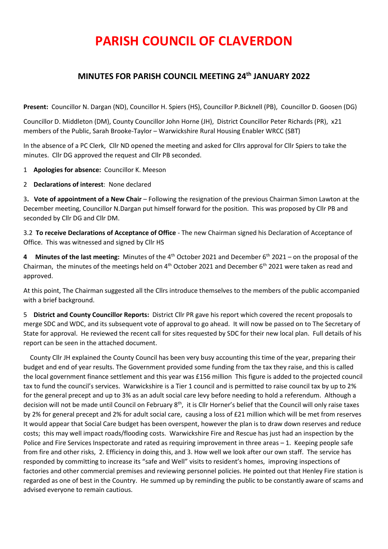# **PARISH COUNCIL OF CLAVERDON**

# **MINUTES FOR PARISH COUNCIL MEETING 24th JANUARY 2022**

**Present:** Councillor N. Dargan (ND), Councillor H. Spiers (HS), Councillor P.Bicknell (PB), Councillor D. Goosen (DG)

Councillor D. Middleton (DM), County Councillor John Horne (JH), District Councillor Peter Richards (PR), x21 members of the Public, Sarah Brooke-Taylor – Warwickshire Rural Housing Enabler WRCC (SBT)

In the absence of a PC Clerk, Cllr ND opened the meeting and asked for Cllrs approval for Cllr Spiers to take the minutes. Cllr DG approved the request and Cllr PB seconded.

1 **Apologies for absence:** Councillor K. Meeson

2 **Declarations of interest**: None declared

3**. Vote of appointment of a New Chair** – Following the resignation of the previous Chairman Simon Lawton at the December meeting, Councillor N.Dargan put himself forward for the position. This was proposed by Cllr PB and seconded by Cllr DG and Cllr DM.

3.2 **To receive Declarations of Acceptance of Office** - The new Chairman signed his Declaration of Acceptance of Office. This was witnessed and signed by Cllr HS

**4** Minutes of the last meeting: Minutes of the 4<sup>th</sup> October 2021 and December 6<sup>th</sup> 2021 – on the proposal of the Chairman, the minutes of the meetings held on  $4<sup>th</sup>$  October 2021 and December 6<sup>th</sup> 2021 were taken as read and approved.

At this point, The Chairman suggested all the Cllrs introduce themselves to the members of the public accompanied with a brief background.

5 **District and County Councillor Reports:** District Cllr PR gave his report which covered the recent proposals to merge SDC and WDC, and its subsequent vote of approval to go ahead. It will now be passed on to The Secretary of State for approval. He reviewed the recent call for sites requested by SDC for their new local plan. Full details of his report can be seen in the attached document.

 County Cllr JH explained the County Council has been very busy accounting this time of the year, preparing their budget and end of year results. The Government provided some funding from the tax they raise, and this is called the local government finance settlement and this year was £156 million This figure is added to the projected council tax to fund the council's services. Warwickshire is a Tier 1 council and is permitted to raise council tax by up to 2% for the general precept and up to 3% as an adult social care levy before needing to hold a referendum. Although a decision will not be made until Council on February 8<sup>th</sup>, it is Cllr Horner's belief that the Council will only raise taxes by 2% for general precept and 2% for adult social care, causing a loss of £21 million which will be met from reserves It would appear that Social Care budget has been overspent, however the plan is to draw down reserves and reduce costs; this may well impact roads/flooding costs. Warwickshire Fire and Rescue has just had an inspection by the Police and Fire Services Inspectorate and rated as requiring improvement in three areas – 1. Keeping people safe from fire and other risks, 2. Efficiency in doing this, and 3. How well we look after our own staff. The service has responded by committing to increase its "safe and Well" visits to resident's homes, improving inspections of factories and other commercial premises and reviewing personnel policies. He pointed out that Henley Fire station is regarded as one of best in the Country. He summed up by reminding the public to be constantly aware of scams and advised everyone to remain cautious.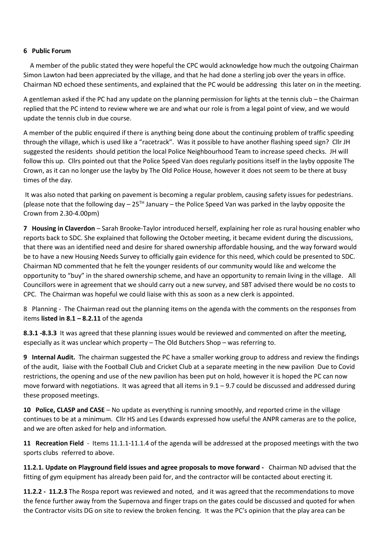#### **6 Public Forum**

 A member of the public stated they were hopeful the CPC would acknowledge how much the outgoing Chairman Simon Lawton had been appreciated by the village, and that he had done a sterling job over the years in office. Chairman ND echoed these sentiments, and explained that the PC would be addressing this later on in the meeting.

A gentleman asked if the PC had any update on the planning permission for lights at the tennis club – the Chairman replied that the PC intend to review where we are and what our role is from a legal point of view, and we would update the tennis club in due course.

A member of the public enquired if there is anything being done about the continuing problem of traffic speeding through the village, which is used like a "racetrack". Was it possible to have another flashing speed sign? Cllr JH suggested the residents should petition the local Police Neighbourhood Team to increase speed checks. JH will follow this up. Cllrs pointed out that the Police Speed Van does regularly positions itself in the layby opposite The Crown, as it can no longer use the layby by The Old Police House, however it does not seem to be there at busy times of the day.

It was also noted that parking on pavement is becoming a regular problem, causing safety issues for pedestrians. (please note that the following day –  $25^{TH}$  January – the Police Speed Van was parked in the layby opposite the Crown from 2.30-4.00pm)

**7 Housing in Claverdon** – Sarah Brooke-Taylor introduced herself, explaining her role as rural housing enabler who reports back to SDC. She explained that following the October meeting, it became evident during the discussions, that there was an identified need and desire for shared ownership affordable housing, and the way forward would be to have a new Housing Needs Survey to officially gain evidence for this need, which could be presented to SDC. Chairman ND commented that he felt the younger residents of our community would like and welcome the opportunity to "buy" in the shared ownership scheme, and have an opportunity to remain living in the village. All Councillors were in agreement that we should carry out a new survey, and SBT advised there would be no costs to CPC. The Chairman was hopeful we could liaise with this as soon as a new clerk is appointed.

8 Planning - The Chairman read out the planning items on the agenda with the comments on the responses from items **listed in 8.1 – 8.2.11** of the agenda

**8.3.1 -8.3.3** It was agreed that these planning issues would be reviewed and commented on after the meeting, especially as it was unclear which property – The Old Butchers Shop – was referring to.

**9 Internal Audit.** The chairman suggested the PC have a smaller working group to address and review the findings of the audit, liaise with the Football Club and Cricket Club at a separate meeting in the new pavilion Due to Covid restrictions, the opening and use of the new pavilion has been put on hold, however it is hoped the PC can now move forward with negotiations. It was agreed that all items in  $9.1 - 9.7$  could be discussed and addressed during these proposed meetings.

**10 Police, CLASP and CASE** – No update as everything is running smoothly, and reported crime in the village continues to be at a minimum. Cllr HS and Les Edwards expressed how useful the ANPR cameras are to the police, and we are often asked for help and information.

**11 Recreation Field** - Items 11.1.1-11.1.4 of the agenda will be addressed at the proposed meetings with the two sports clubs referred to above.

**11.2.1. Update on Playground field issues and agree proposals to move forward -** Chairman ND advised that the fitting of gym equipment has already been paid for, and the contractor will be contacted about erecting it.

**11.2.2 - 11.2.3** The Rospa report was reviewed and noted, and it was agreed that the recommendations to move the fence further away from the Supernova and finger traps on the gates could be discussed and quoted for when the Contractor visits DG on site to review the broken fencing. It was the PC's opinion that the play area can be